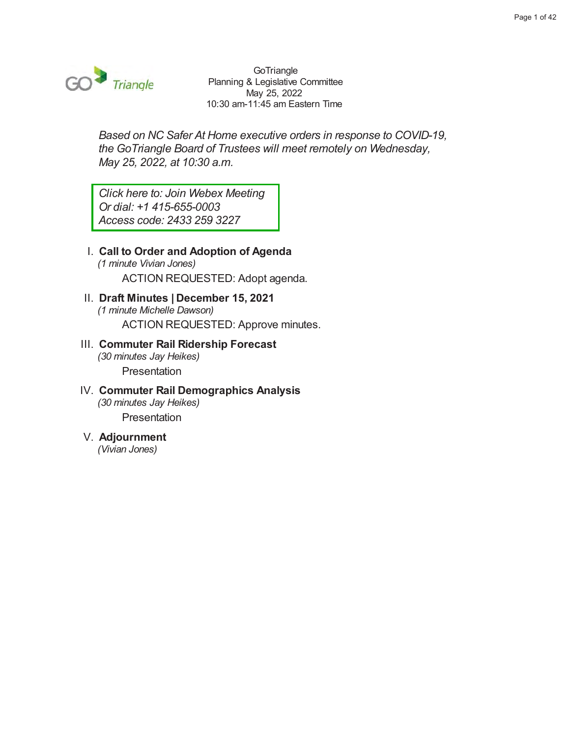

GoTriangle Planning & Legislative Committee May 25, 2022 10:30 am-11:45 am Eastern Time

Based on NC Safer At Home executive orders in response to COVID-19, the GoTriangle Board of Trustees will meet remotely on Wednesday, May 25, 2022, at 10:30 a.m.

Click here to: Join Webex Meeting Or dial: +1 415-655-0003 Access code: 2433 259 3227

#### I. Call to Order and Adoption of Agenda (1 minute Vivian Jones)

ACTION REQUESTED: Adopt agenda.

### II. Draft Minutes | December 15, 2021 (1 minute Michelle Dawson)

ACTION REQUESTED: Approve minutes.

#### III. Commuter Rail Ridership Forecast (30 minutes Jay Heikes) Presentation

#### IV. Commuter Rail Demographics Analysis (30 minutes Jay Heikes) Presentation

#### V. Adjournment

(Vivian Jones)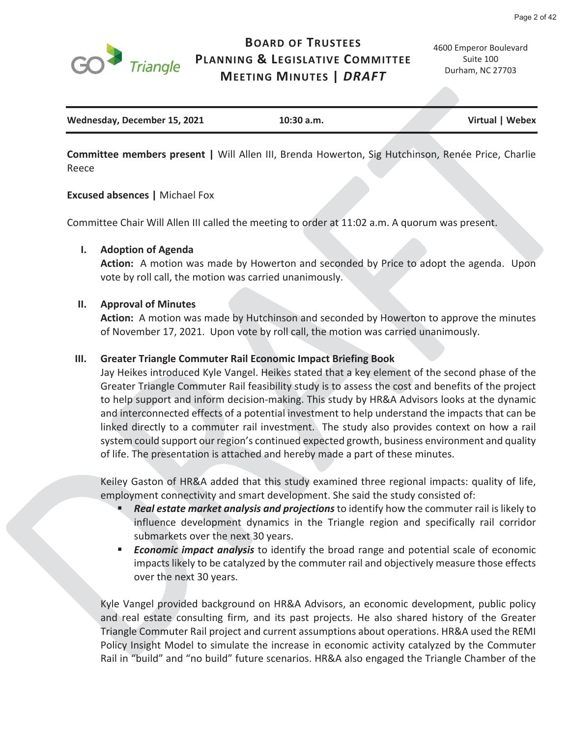

### **BOARD OF TRUSTEES PLANNING & LEGISLATIVE COMMITTEE MEETING MINUTES |** *DRAFT*

4600 Emperor Boulevard Suite 100 Durham, NC 27703

| Wednesday, December 15, 2021 | $10:30$ a.m. | Virtual   Webex |
|------------------------------|--------------|-----------------|
|                              |              |                 |

**Committee members present |** Will Allen III, Brenda Howerton, Sig Hutchinson, Renée Price, Charlie Reece

#### **Excused absences |** Michael Fox

Committee Chair Will Allen III called the meeting to order at 11:02 a.m. A quorum was present.

#### **I. Adoption of Agenda**

**Action:** A motion was made by Howerton and seconded by Price to adopt the agenda. Upon vote by roll call, the motion was carried unanimously.

#### **II. Approval of Minutes**

**Action:** A motion was made by Hutchinson and seconded by Howerton to approve the minutes of November 17, 2021. Upon vote by roll call, the motion was carried unanimously.

#### **III. Greater Triangle Commuter Rail Economic Impact Briefing Book**

Jay Heikes introduced Kyle Vangel. Heikes stated that a key element of the second phase of the Greater Triangle Commuter Rail feasibility study is to assess the cost and benefits of the project to help support and inform decision-making. This study by HR&A Advisors looks at the dynamic and interconnected effects of a potential investment to help understand the impacts that can be linked directly to a commuter rail investment. The study also provides context on how a rail system could support our region's continued expected growth, business environment and quality of life. The presentation is attached and hereby made a part of these minutes.

Keiley Gaston of HR&A added that this study examined three regional impacts: quality of life, employment connectivity and smart development. She said the study consisted of:

- *Real estate market analysis and projections* to identify how the commuter rail is likely to influence development dynamics in the Triangle region and specifically rail corridor submarkets over the next 30 years.
- *Economic impact analysis* to identify the broad range and potential scale of economic impacts likely to be catalyzed by the commuter rail and objectively measure those effects over the next 30 years.

Kyle Vangel provided background on HR&A Advisors, an economic development, public policy and real estate consulting firm, and its past projects. He also shared history of the Greater Triangle Commuter Rail project and current assumptions about operations. HR&A used the REMI Policy Insight Model to simulate the increase in economic activity catalyzed by the Commuter Rail in "build" and "no build" future scenarios. HR&A also engaged the Triangle Chamber of the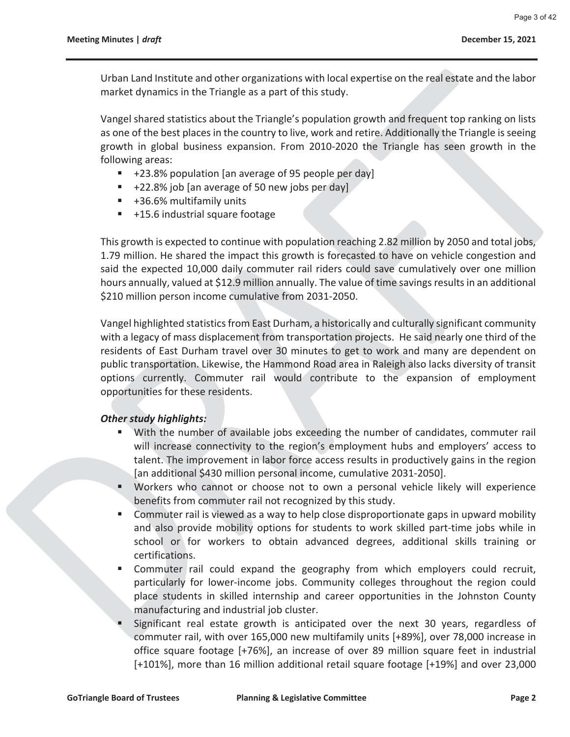Urban Land Institute and other organizations with local expertise on the real estate and the labor market dynamics in the Triangle as a part of this study.

Vangel shared statistics about the Triangle's population growth and frequent top ranking on lists as one of the best places in the country to live, work and retire. Additionally the Triangle is seeing growth in global business expansion. From 2010-2020 the Triangle has seen growth in the following areas:

- +23.8% population [an average of 95 people per day]
- $+22.8\%$  job [an average of 50 new jobs per day]
- +36.6% multifamily units
- +15.6 industrial square footage

This growth is expected to continue with population reaching 2.82 million by 2050 and total jobs, 1.79 million. He shared the impact this growth is forecasted to have on vehicle congestion and said the expected 10,000 daily commuter rail riders could save cumulatively over one million hours annually, valued at \$12.9 million annually. The value of time savings results in an additional \$210 million person income cumulative from 2031-2050.

Vangel highlighted statistics from East Durham, a historically and culturally significant community with a legacy of mass displacement from transportation projects. He said nearly one third of the residents of East Durham travel over 30 minutes to get to work and many are dependent on public transportation. Likewise, the Hammond Road area in Raleigh also lacks diversity of transit options currently. Commuter rail would contribute to the expansion of employment opportunities for these residents.

#### *Other study highlights:*

- With the number of available jobs exceeding the number of candidates, commuter rail will increase connectivity to the region's employment hubs and employers' access to talent. The improvement in labor force access results in productively gains in the region [an additional \$430 million personal income, cumulative 2031-2050].
- Workers who cannot or choose not to own a personal vehicle likely will experience benefits from commuter rail not recognized by this study.
- **Commuter rail is viewed as a way to help close disproportionate gaps in upward mobility** and also provide mobility options for students to work skilled part-time jobs while in school or for workers to obtain advanced degrees, additional skills training or certifications.
- Commuter rail could expand the geography from which employers could recruit, particularly for lower-income jobs. Community colleges throughout the region could place students in skilled internship and career opportunities in the Johnston County manufacturing and industrial job cluster.
- Significant real estate growth is anticipated over the next 30 years, regardless of commuter rail, with over 165,000 new multifamily units [+89%], over 78,000 increase in office square footage [+76%], an increase of over 89 million square feet in industrial [+101%], more than 16 million additional retail square footage [+19%] and over 23,000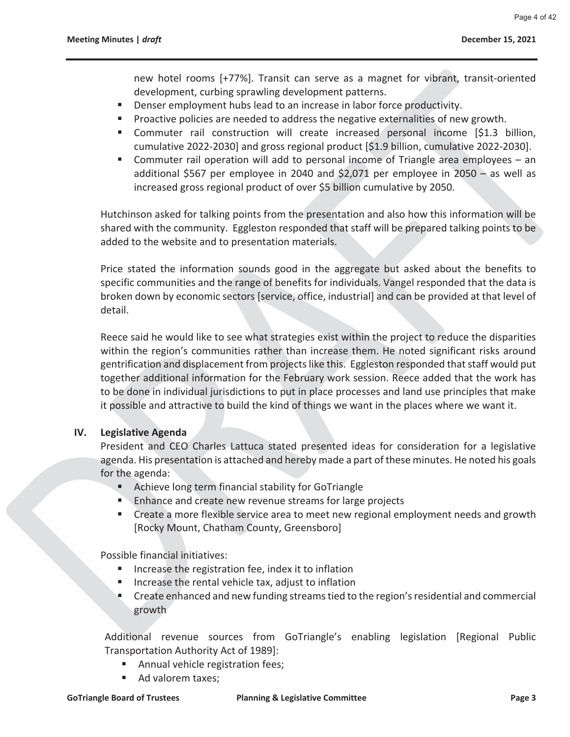new hotel rooms [+77%]. Transit can serve as a magnet for vibrant, transit-oriented development, curbing sprawling development patterns.

- Denser employment hubs lead to an increase in labor force productivity.
- **Proactive policies are needed to address the negative externalities of new growth.**
- Commuter rail construction will create increased personal income [\$1.3 billion, cumulative 2022-2030] and gross regional product [\$1.9 billion, cumulative 2022-2030].
- Commuter rail operation will add to personal income of Triangle area employees an additional \$567 per employee in 2040 and \$2,071 per employee in 2050 – as well as increased gross regional product of over \$5 billion cumulative by 2050.

Hutchinson asked for talking points from the presentation and also how this information will be shared with the community. Eggleston responded that staff will be prepared talking points to be added to the website and to presentation materials.

Price stated the information sounds good in the aggregate but asked about the benefits to specific communities and the range of benefits for individuals. Vangel responded that the data is broken down by economic sectors [service, office, industrial] and can be provided at that level of detail.

Reece said he would like to see what strategies exist within the project to reduce the disparities within the region's communities rather than increase them. He noted significant risks around gentrification and displacement from projects like this. Eggleston responded that staff would put together additional information for the February work session. Reece added that the work has to be done in individual jurisdictions to put in place processes and land use principles that make it possible and attractive to build the kind of things we want in the places where we want it.

#### **IV. Legislative Agenda**

President and CEO Charles Lattuca stated presented ideas for consideration for a legislative agenda. His presentation is attached and hereby made a part of these minutes. He noted his goals for the agenda:

- Achieve long term financial stability for GoTriangle
- **Enhance and create new revenue streams for large projects**
- **EXP** Create a more flexible service area to meet new regional employment needs and growth [Rocky Mount, Chatham County, Greensboro]

Possible financial initiatives:

- **IDED** Increase the registration fee, index it to inflation
- Increase the rental vehicle tax, adjust to inflation
- **Create enhanced and new funding streams tied to the region's residential and commercial** growth

Additional revenue sources from GoTriangle's enabling legislation [Regional Public Transportation Authority Act of 1989]:

- **Annual vehicle registration fees;**
- Ad valorem taxes;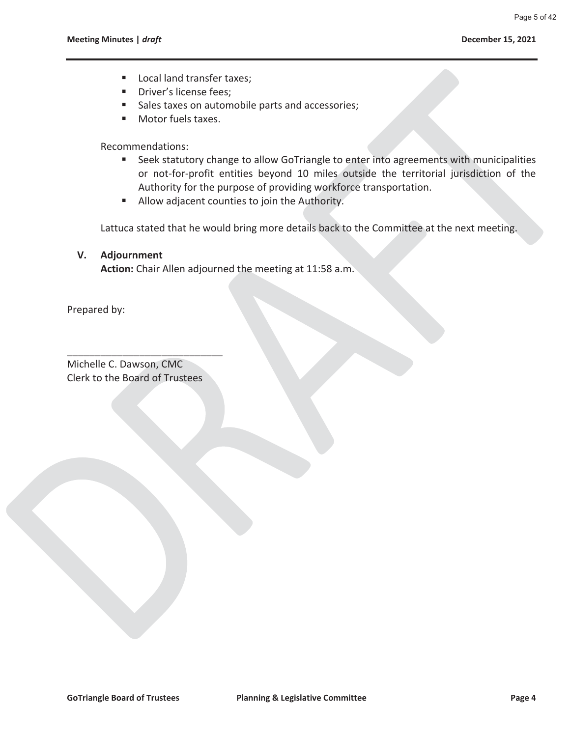- Local land transfer taxes;
- **Driver's license fees;**
- Sales taxes on automobile parts and accessories;
- **Motor fuels taxes.**

Recommendations:

- Seek statutory change to allow GoTriangle to enter into agreements with municipalities or not-for-profit entities beyond 10 miles outside the territorial jurisdiction of the Authority for the purpose of providing workforce transportation.
- Allow adjacent counties to join the Authority.

Lattuca stated that he would bring more details back to the Committee at the next meeting.

#### **V. Adjournment**

**Action:** Chair Allen adjourned the meeting at 11:58 a.m.

Prepared by:

Michelle C. Dawson, CMC Clerk to the Board of Trustees

\_\_\_\_\_\_\_\_\_\_\_\_\_\_\_\_\_\_\_\_\_\_\_\_\_\_\_\_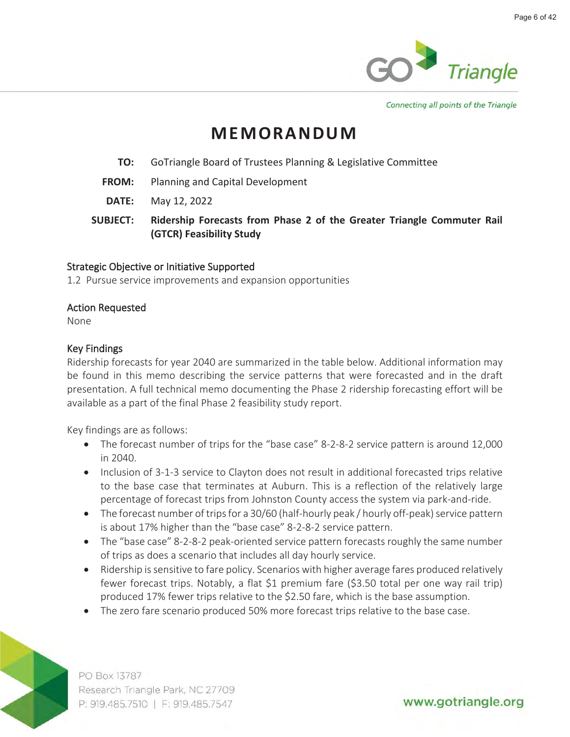

Connecting all points of the Triangle

### **MEMORANDUM**

- **TO:** GoTriangle Board of Trustees Planning & Legislative Committee
- **FROM:** Planning and Capital Development
- **DATE:** May 12, 2022
- **SUBJECT: Ridership Forecasts from Phase 2 of the Greater Triangle Commuter Rail (GTCR) Feasibility Study**

#### **Strategic Objective or Initiative Supported**

**1.2 Pursue service improvements and expansion opportunities**

#### **Action Requested**

**None**

#### **Key Findings**

**Ridership forecasts for year 2040 are summarized in the table below. Additional information may be found in this memo describing the service patterns that were forecasted and in the draft presentation. A full technical memo documenting the Phase 2 ridership forecasting effort will be available as a part of the final Phase 2 feasibility study report.** 

**Key findings are as follows:**

- **The forecast number of trips for the "base case" 8-2-8-2 service pattern is around 12,000 in 2040.**
- **Inclusion of 3-1-3 service to Clayton does not result in additional forecasted trips relative to the base case that terminates at Auburn. This is a reflection of the relatively large percentage of forecast trips from Johnston County access the system via park-and-ride.**
- **The forecast number of trips for a 30/60 (half-hourly peak / hourly off-peak) service pattern is about 17% higher than the "base case" 8-2-8-2 service pattern.**
- **The "base case" 8-2-8-2 peak-oriented service pattern forecasts roughly the same number of trips as does a scenario that includes all day hourly service.**
- **Ridership is sensitive to fare policy. Scenarios with higher average fares produced relatively fewer forecast trips. Notably, a flat \$1 premium fare (\$3.50 total per one way rail trip) produced 17% fewer trips relative to the \$2.50 fare, which is the base assumption.**
- **The zero fare scenario produced 50% more forecast trips relative to the base case.**



PO Box 13787 Research Triangle Park, NC 27709 P: 919.485.7510 | F: 919.485.7547

www.gotriangle.org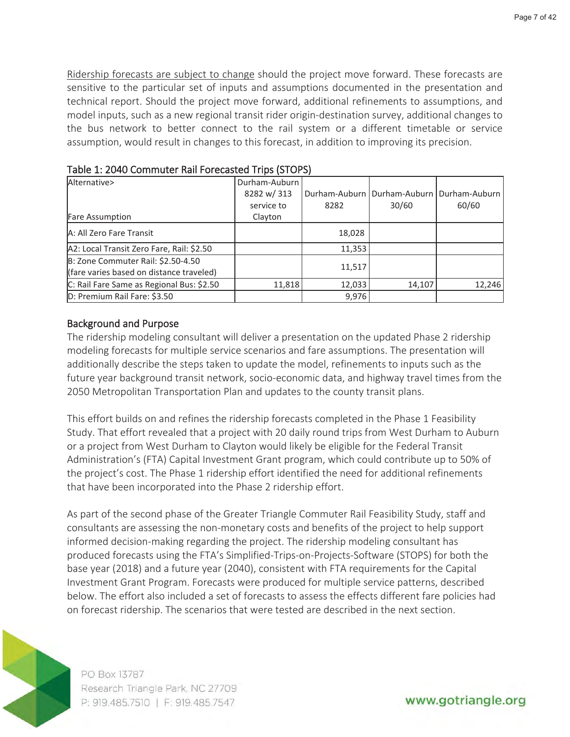**Ridership forecasts are subject to change should the project move forward. These forecasts are sensitive to the particular set of inputs and assumptions documented in the presentation and technical report. Should the project move forward, additional refinements to assumptions, and model inputs, such as a new regional transit rider origin-destination survey, additional changes to the bus network to better connect to the rail system or a different timetable or service assumption, would result in changes to this forecast, in addition to improving its precision.** 

| Alternative>                              | Durham-Auburn |        |                                               |        |
|-------------------------------------------|---------------|--------|-----------------------------------------------|--------|
|                                           | 8282 w/313    |        | Durham-Auburn   Durham-Auburn   Durham-Auburn |        |
|                                           | service to    | 8282   | 30/60                                         | 60/60  |
| <b>Fare Assumption</b>                    | Clayton       |        |                                               |        |
| A: All Zero Fare Transit                  |               | 18,028 |                                               |        |
| A2: Local Transit Zero Fare, Rail: \$2.50 |               | 11,353 |                                               |        |
| B: Zone Commuter Rail: \$2.50-4.50        |               |        |                                               |        |
| (fare varies based on distance traveled)  |               | 11,517 |                                               |        |
| C: Rail Fare Same as Regional Bus: \$2.50 | 11,818        | 12,033 | 14,107                                        | 12,246 |
| D: Premium Rail Fare: \$3.50              |               | 9,976  |                                               |        |

**Table 1: 2040 Commuter Rail Forecasted Trips (STOPS)**

#### **Background and Purpose**

**The ridership modeling consultant will deliver a presentation on the updated Phase 2 ridership modeling forecasts for multiple service scenarios and fare assumptions. The presentation will additionally describe the steps taken to update the model, refinements to inputs such as the future year background transit network, socio-economic data, and highway travel times from the 2050 Metropolitan Transportation Plan and updates to the county transit plans.** 

**This effort builds on and refines the ridership forecasts completed in the Phase 1 Feasibility Study. That effort revealed that a project with 20 daily round trips from West Durham to Auburn or a project from West Durham to Clayton would likely be eligible for the Federal Transit Administration's (FTA) Capital Investment Grant program, which could contribute up to 50% of the project's cost. The Phase 1 ridership effort identified the need for additional refinements that have been incorporated into the Phase 2 ridership effort.** 

**As part of the second phase of the Greater Triangle Commuter Rail Feasibility Study, staff and consultants are assessing the non-monetary costs and benefits of the project to help support informed decision-making regarding the project. The ridership modeling consultant has produced forecasts using the FTA's Simplified-Trips-on-Projects-Software (STOPS) for both the base year (2018) and a future year (2040), consistent with FTA requirements for the Capital Investment Grant Program. Forecasts were produced for multiple service patterns, described below. The effort also included a set of forecasts to assess the effects different fare policies had on forecast ridership. The scenarios that were tested are described in the next section.**



PO Box 13787 Research Triangle Park, NC 27709 P: 919.485.7510 | F: 919.485.7547

www.gotriangle.org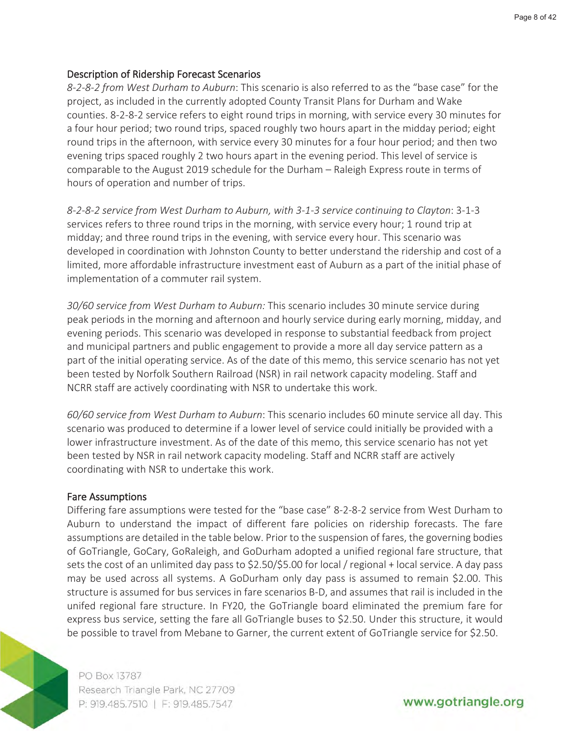#### **Description of Ridership Forecast Scenarios**

*8-2-8-2 from West Durham to Auburn***: This scenario is also referred to as the "base case" for the project, as included in the currently adopted County Transit Plans for Durham and Wake counties. 8-2-8-2 service refers to eight round trips in morning, with service every 30 minutes for a four hour period; two round trips, spaced roughly two hours apart in the midday period; eight round trips in the afternoon, with service every 30 minutes for a four hour period; and then two evening trips spaced roughly 2 two hours apart in the evening period. This level of service is comparable to the August 2019 schedule for the Durham – Raleigh Express route in terms of hours of operation and number of trips.**

*8-2-8-2 service from West Durham to Auburn, with 3-1-3 service continuing to Clayton***: 3-1-3 services refers to three round trips in the morning, with service every hour; 1 round trip at midday; and three round trips in the evening, with service every hour. This scenario was developed in coordination with Johnston County to better understand the ridership and cost of a limited, more affordable infrastructure investment east of Auburn as a part of the initial phase of implementation of a commuter rail system.**

*30/60 service from West Durham to Auburn:* **This scenario includes 30 minute service during peak periods in the morning and afternoon and hourly service during early morning, midday, and evening periods. This scenario was developed in response to substantial feedback from project and municipal partners and public engagement to provide a more all day service pattern as a part of the initial operating service. As of the date of this memo, this service scenario has not yet been tested by Norfolk Southern Railroad (NSR) in rail network capacity modeling. Staff and NCRR staff are actively coordinating with NSR to undertake this work.**

*60/60 service from West Durham to Auburn***: This scenario includes 60 minute service all day. This scenario was produced to determine if a lower level of service could initially be provided with a lower infrastructure investment. As of the date of this memo, this service scenario has not yet been tested by NSR in rail network capacity modeling. Staff and NCRR staff are actively coordinating with NSR to undertake this work.**

#### **Fare Assumptions**

**Differing fare assumptions were tested for the "base case" 8-2-8-2 service from West Durham to Auburn to understand the impact of different fare policies on ridership forecasts. The fare assumptions are detailed in the table below. Prior to the suspension of fares, the governing bodies of GoTriangle, GoCary, GoRaleigh, and GoDurham adopted a unified regional fare structure, that sets the cost of an unlimited day pass to \$2.50/\$5.00 for local / regional + local service. A day pass may be used across all systems. A GoDurham only day pass is assumed to remain \$2.00. This structure is assumed for bus services in fare scenarios B-D, and assumes that rail is included in the unifed regional fare structure. In FY20, the GoTriangle board eliminated the premium fare for express bus service, setting the fare all GoTriangle buses to \$2.50. Under this structure, it would be possible to travel from Mebane to Garner, the current extent of GoTriangle service for \$2.50.** 



PO Box 13787 Research Triangle Park, NC 27709 P: 919.485.7510 | F: 919.485.7547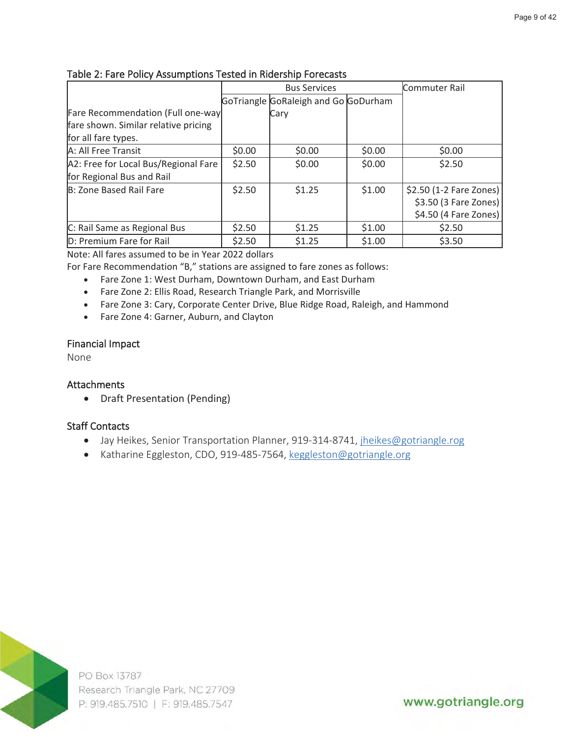|                                      | <b>Bus Services</b> |                                      |        | Commuter Rail           |
|--------------------------------------|---------------------|--------------------------------------|--------|-------------------------|
|                                      |                     | GoTriangle GoRaleigh and Go GoDurham |        |                         |
| Fare Recommendation (Full one-way    |                     | Cary                                 |        |                         |
| fare shown. Similar relative pricing |                     |                                      |        |                         |
| for all fare types.                  |                     |                                      |        |                         |
| A: All Free Transit                  | \$0.00              | \$0.00                               | \$0.00 | \$0.00                  |
| A2: Free for Local Bus/Regional Fare | \$2.50              | \$0.00                               | \$0.00 | \$2.50                  |
| for Regional Bus and Rail            |                     |                                      |        |                         |
| B: Zone Based Rail Fare              | \$2.50              | \$1.25                               | \$1.00 | \$2.50 (1-2 Fare Zones) |
|                                      |                     |                                      |        | $$3.50$ (3 Fare Zones)  |
|                                      |                     |                                      |        | $$4.50$ (4 Fare Zones)  |
| C: Rail Same as Regional Bus         | \$2.50              | \$1.25                               | \$1.00 | \$2.50                  |
| D: Premium Fare for Rail             | \$2.50              | \$1.25                               | \$1.00 | \$3.50                  |

#### **Table 2: Fare Policy Assumptions Tested in Ridership Forecasts**

Note: All fares assumed to be in Year 2022 dollars

For Fare Recommendation "B," stations are assigned to fare zones as follows:

- Fare Zone 1: West Durham, Downtown Durham, and East Durham
- Fare Zone 2: Ellis Road, Research Triangle Park, and Morrisville
- Fare Zone 3: Cary, Corporate Center Drive, Blue Ridge Road, Raleigh, and Hammond
- Fare Zone 4: Garner, Auburn, and Clayton

#### **Financial Impact**

**None**

#### **Attachments**

• Draft Presentation (Pending)

#### **Staff Contacts**

- **Jay Heikes, Senior Transportation Planner, 919-314-8741, jheikes@gotriangle.rog**
- **Katharine Eggleston, CDO, 919-485-7564, keggleston@gotriangle.org**



PO Box 13787 Research Triangle Park, NC 27709 P: 919.485.7510 | F: 919.485.7547

www.gotriangle.org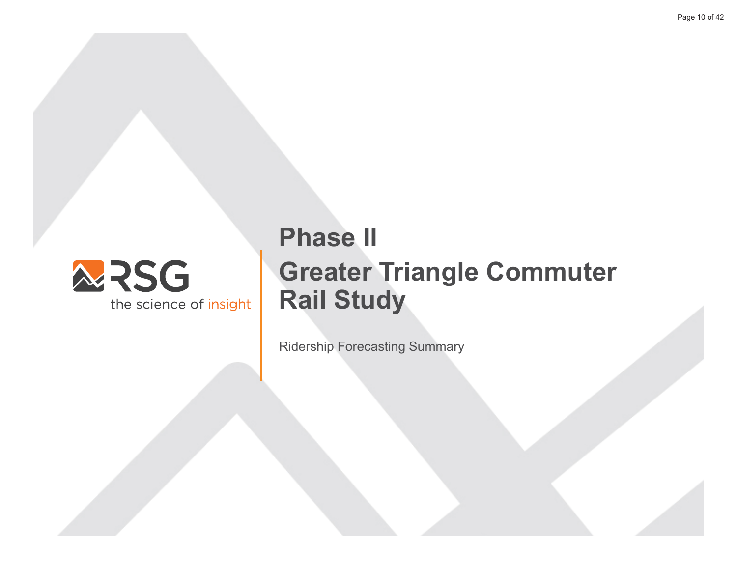

## **Phase II Greater Triangle Commuter Rail Study**

**Ridership Forecasting Summary**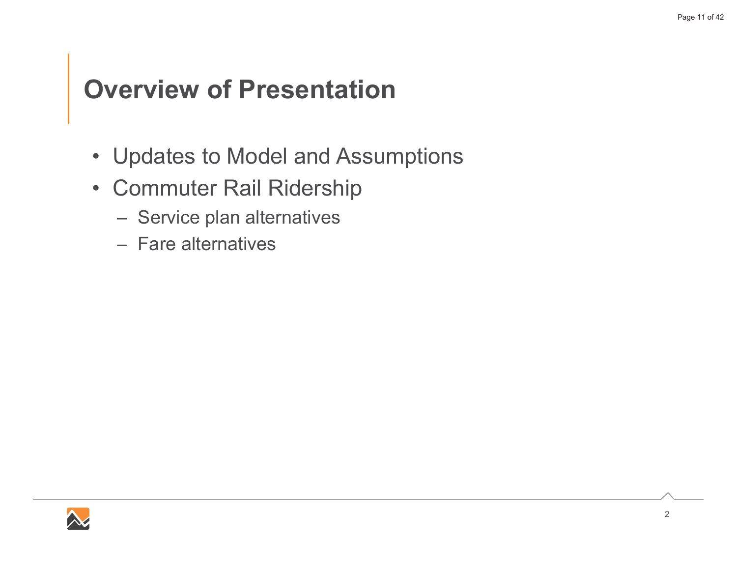### **Overview of Presentation**

- Updates to Model and Assumptions
- Commuter Rail Ridership
	- Service plan alternatives
	- Fare alternatives

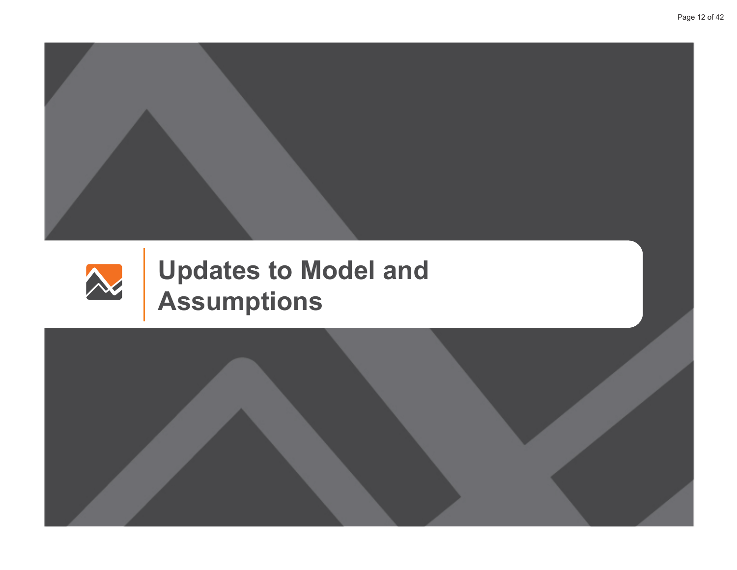



# **Updates to Model and Assumptions**

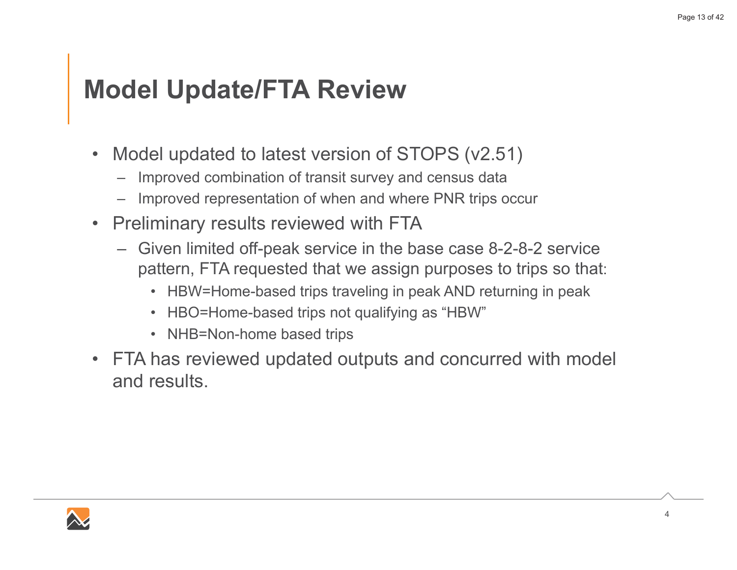### **Model Update/FTA Review**

- Model updated to latest version of STOPS (v2.51)  $\bullet$ 
	- Improved combination of transit survey and census data
	- Improved representation of when and where PNR trips occur
- **Preliminary results reviewed with FTA**  $\bullet$ 
	- Given limited off-peak service in the base case 8-2-8-2 service pattern, FTA requested that we assign purposes to trips so that:
		- HBW=Home-based trips traveling in peak AND returning in peak
		- HBO=Home-based trips not qualifying as "HBW"
		- NHB=Non-home based trips
- FTA has reviewed updated outputs and concurred with model and results

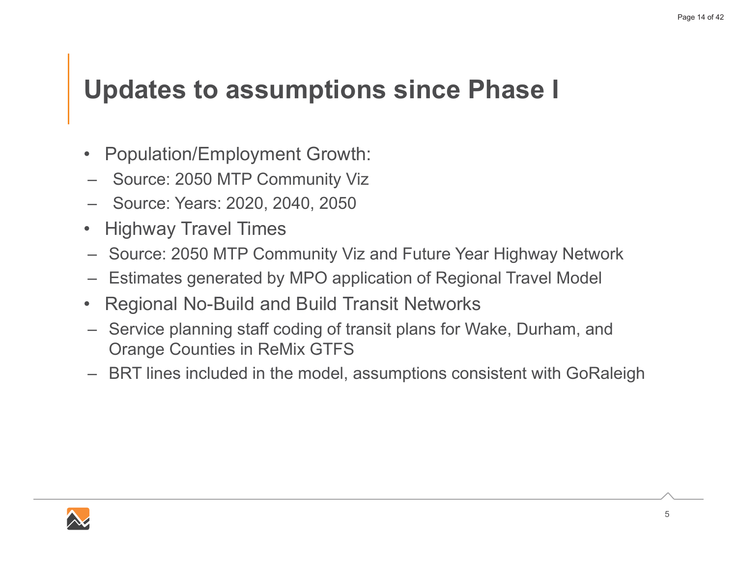### **Updates to assumptions since Phase I**

- $\bullet$ Population/Employment Growth:
- $-$  Source: 2050 MTP Community Viz
- − Source: Years: 2020, 2040, 2050
- $\bullet$ **Highway Travel Times**
- $-$  Source: 2050 MTP Community Viz and Future Year Highway Network
- $-$  Estimates generated by MPO application of Regional Travel Model
- 0 Regional No-Build and Build Transit Networks
- $-$  Service planning staff coding of transit plans for Wake, Durham, and Orange Counties in ReMix GTFS
- $-$  BRT lines included in the model, assumptions consistent with GoRaleigh

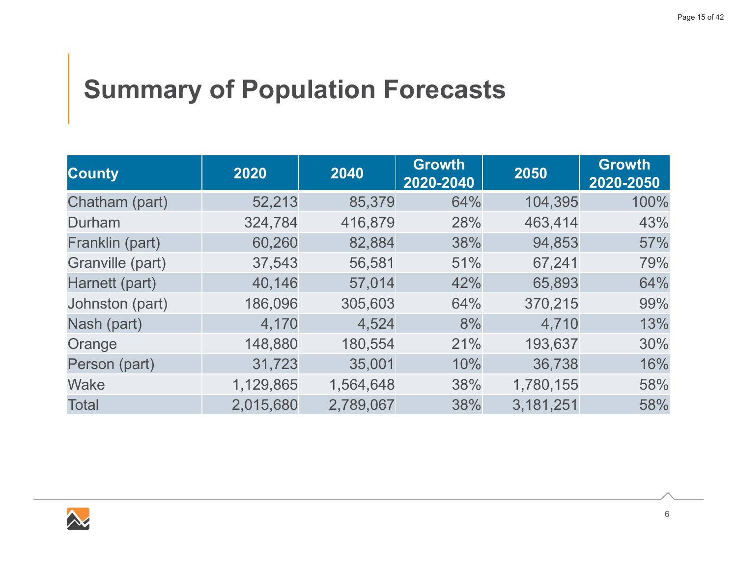## **Summary of Population Forecasts**

| <b>County</b>    | 2020      | 2040      | <b>Growth</b><br>2020-2040 | 2050      | <b>Growth</b><br>2020-2050 |
|------------------|-----------|-----------|----------------------------|-----------|----------------------------|
| Chatham (part)   | 52,213    | 85,379    | 64%                        | 104,395   | 100%                       |
| Durham           | 324,784   | 416,879   | 28%                        | 463,414   | 43%                        |
| Franklin (part)  | 60,260    | 82,884    | 38%                        | 94,853    | 57%                        |
| Granville (part) | 37,543    | 56,581    | 51%                        | 67,241    | 79%                        |
| Harnett (part)   | 40,146    | 57,014    | 42%                        | 65,893    | 64%                        |
| Johnston (part)  | 186,096   | 305,603   | 64%                        | 370,215   | 99%                        |
| Nash (part)      | 4,170     | 4,524     | 8%                         | 4,710     | 13%                        |
| Orange           | 148,880   | 180,554   | 21%                        | 193,637   | 30%                        |
| Person (part)    | 31,723    | 35,001    | 10%                        | 36,738    | 16%                        |
| <b>Wake</b>      | 1,129,865 | 1,564,648 | 38%                        | 1,780,155 | 58%                        |
| <b>Total</b>     | 2,015,680 | 2,789,067 | 38%                        | 3,181,251 | 58%                        |

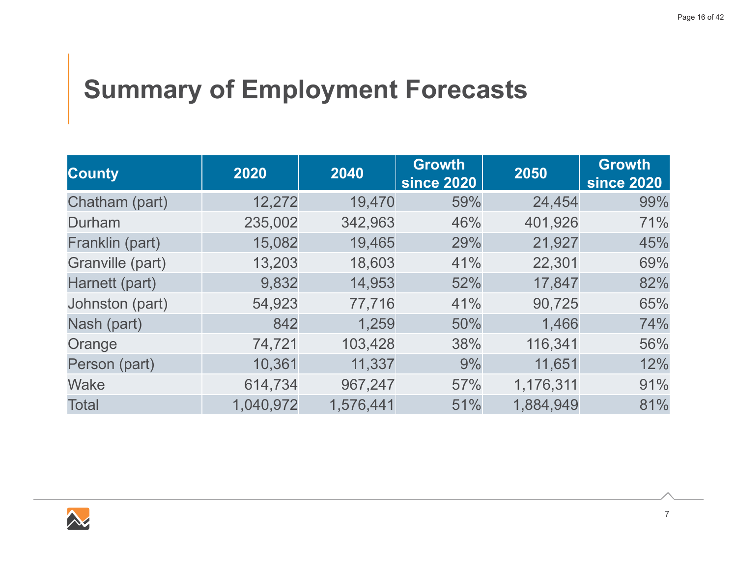## **Summary of Employment Forecasts**

| <b>County</b>    | 2020      | 2040      | <b>Growth</b><br><b>since 2020</b> | 2050      | <b>Growth</b><br><b>since 2020</b> |
|------------------|-----------|-----------|------------------------------------|-----------|------------------------------------|
| Chatham (part)   | 12,272    | 19,470    | 59%                                | 24,454    | 99%                                |
| Durham           | 235,002   | 342,963   | 46%                                | 401,926   | 71%                                |
| Franklin (part)  | 15,082    | 19,465    | 29%                                | 21,927    | 45%                                |
| Granville (part) | 13,203    | 18,603    | 41%                                | 22,301    | 69%                                |
| Harnett (part)   | 9,832     | 14,953    | 52%                                | 17,847    | 82%                                |
| Johnston (part)  | 54,923    | 77,716    | 41%                                | 90,725    | 65%                                |
| Nash (part)      | 842       | 1,259     | 50%                                | 1,466     | 74%                                |
| Orange           | 74,721    | 103,428   | 38%                                | 116,341   | 56%                                |
| Person (part)    | 10,361    | 11,337    | 9%                                 | 11,651    | 12%                                |
| Wake             | 614,734   | 967,247   | 57%                                | 1,176,311 | 91%                                |
| <b>Total</b>     | 1,040,972 | 1,576,441 | 51%                                | 1,884,949 | 81%                                |

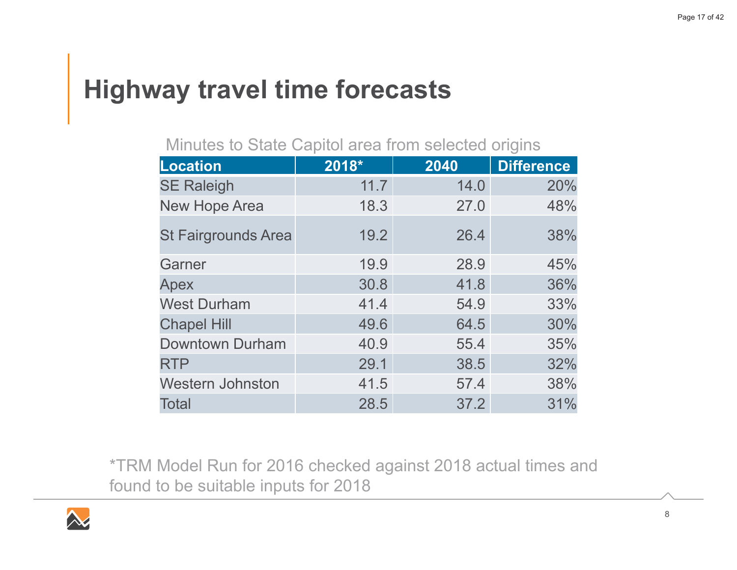## **Highway travel time forecasts**

### Minutes to State Capitol area from selected origins

| Location                   | 2018* | 2040 | <b>Difference</b> |
|----------------------------|-------|------|-------------------|
| <b>SE Raleigh</b>          | 11.7  | 14.0 | 20%               |
| <b>New Hope Area</b>       | 18.3  | 27.0 | 48%               |
| <b>St Fairgrounds Area</b> | 19.2  | 26.4 | 38%               |
| Garner                     | 19.9  | 28.9 | 45%               |
| Apex                       | 30.8  | 41.8 | 36%               |
| <b>West Durham</b>         | 41.4  | 54.9 | 33%               |
| <b>Chapel Hill</b>         | 49.6  | 64.5 | 30%               |
| <b>Downtown Durham</b>     | 40.9  | 55.4 | 35%               |
| <b>RTP</b>                 | 29.1  | 38.5 | 32%               |
| <b>Western Johnston</b>    | 41.5  | 57.4 | 38%               |
| <b>Total</b>               | 28.5  | 37.2 | 31%               |

\*TRM Model Run for 2016 checked against 2018 actual times and found to be suitable inputs for 2018

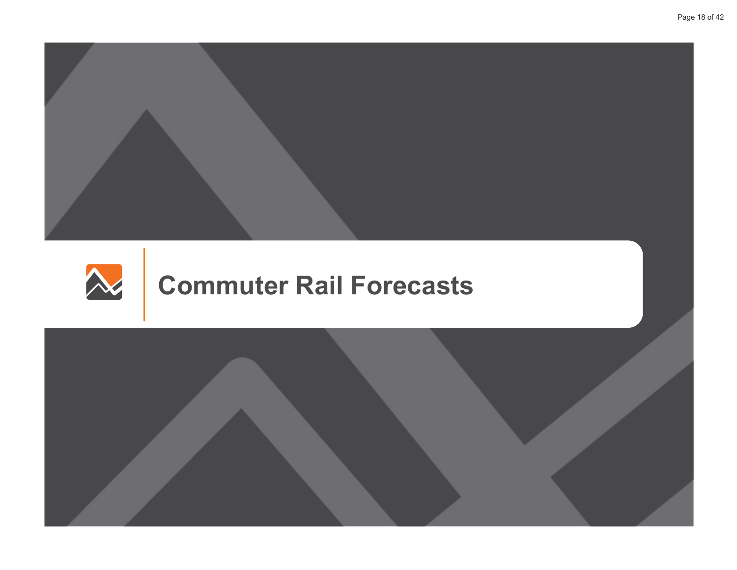



## **Commuter Rail Forecasts**

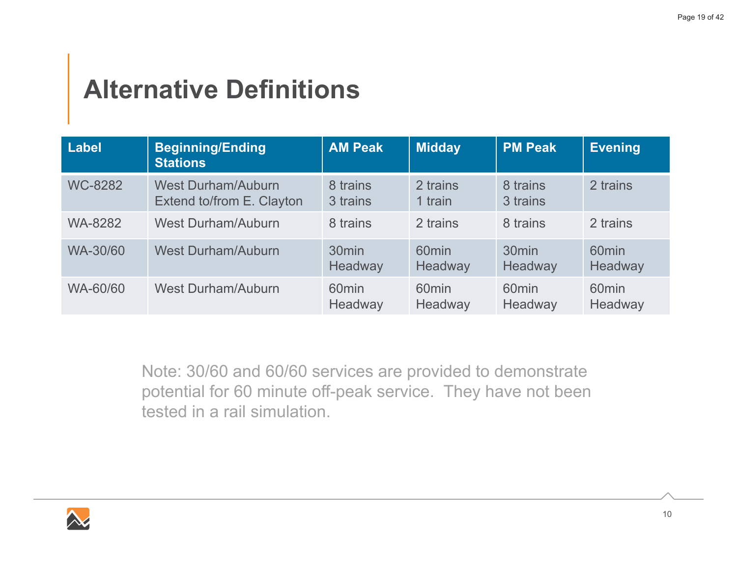## **Alternative Definitions**

| Label          | <b>Beginning/Ending</b><br><b>Stations</b>             | <b>AM Peak</b>               | <b>Midday</b>                | <b>PM Peak</b>               | Evening                      |
|----------------|--------------------------------------------------------|------------------------------|------------------------------|------------------------------|------------------------------|
| <b>WC-8282</b> | <b>West Durham/Auburn</b><br>Extend to/from E. Clayton | 8 trains<br>3 trains         | 2 trains<br>1 train          | 8 trains<br>3 trains         | 2 trains                     |
| <b>WA-8282</b> | <b>West Durham/Auburn</b>                              | 8 trains                     | 2 trains                     | 8 trains                     | 2 trains                     |
| WA-30/60       | <b>West Durham/Auburn</b>                              | 30 <sub>min</sub><br>Headway | 60 <sub>min</sub><br>Headway | 30 <sub>min</sub><br>Headway | 60 <sub>min</sub><br>Headway |
| WA-60/60       | <b>West Durham/Auburn</b>                              | 60 <sub>min</sub><br>Headway | 60 <sub>min</sub><br>Headway | 60 <sub>min</sub><br>Headway | 60 <sub>min</sub><br>Headway |

Note: 30/60 and 60/60 services are provided to demonstrate potential for 60 minute off-peak service. They have not been tested in a rail simulation.

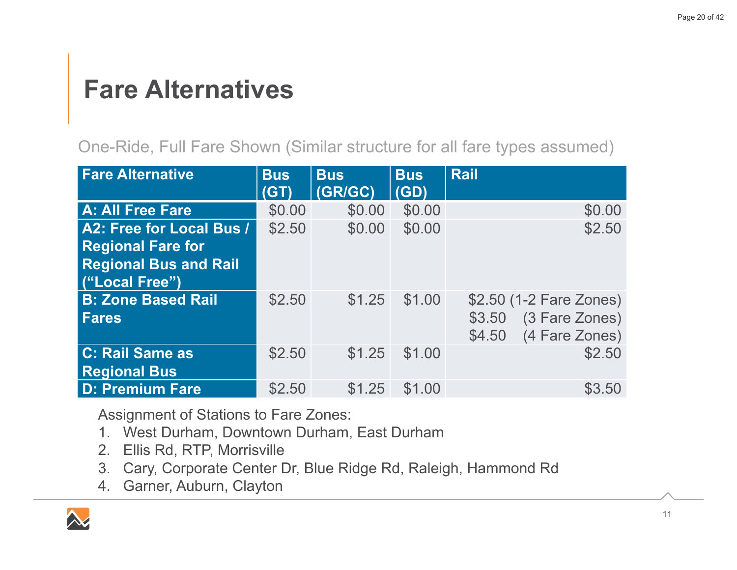### **Fare Alternatives**

One-Ride, Full Fare Shown (Similar structure for all fare types assumed)

| <b>Fare Alternative</b>      | <b>Bus</b><br>(GT) | <b>Bus</b><br>(GR/GC) | <b>Bus</b><br>(GD) | <b>Rail</b>              |
|------------------------------|--------------------|-----------------------|--------------------|--------------------------|
| <b>A: All Free Fare</b>      | \$0.00             | \$0.00                | \$0.00             | \$0.00                   |
| A2: Free for Local Bus /     | \$2.50             | \$0.00                | \$0.00             | \$2.50                   |
| <b>Regional Fare for</b>     |                    |                       |                    |                          |
| <b>Regional Bus and Rail</b> |                    |                       |                    |                          |
| ("Local Free")               |                    |                       |                    |                          |
| <b>B: Zone Based Rail</b>    | \$2.50             | \$1.25                | \$1.00             | \$2.50 (1-2 Fare Zones)  |
| <b>Fares</b>                 |                    |                       |                    | (3 Fare Zones)<br>\$3.50 |
|                              |                    |                       |                    | (4 Fare Zones)<br>\$4.50 |
| C: Rail Same as              | \$2.50             | \$1.25                | \$1.00             | \$2.50                   |
| <b>Regional Bus</b>          |                    |                       |                    |                          |
| <b>D: Premium Fare</b>       | \$2.50             | \$1.25                | \$1.00             | \$3.50                   |

**Assignment of Stations to Fare Zones:** 

- 1. West Durham, Downtown Durham, East Durham
- $2<sub>1</sub>$ Ellis Rd, RTP, Morrisville
- Cary, Corporate Center Dr, Blue Ridge Rd, Raleigh, Hammond Rd  $3<sub>1</sub>$
- 4. Garner, Auburn, Clayton

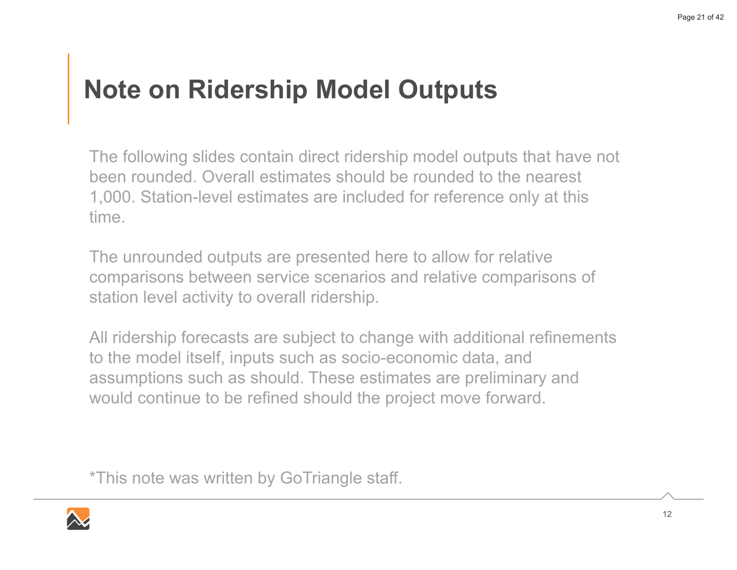## **Note on Ridership Model Outputs**

The following slides contain direct ridership model outputs that have not been rounded. Overall estimates should be rounded to the nearest 1,000. Station-level estimates are included for reference only at this time

The unrounded outputs are presented here to allow for relative comparisons between service scenarios and relative comparisons of station level activity to overall ridership.

All ridership forecasts are subject to change with additional refinements to the model itself, inputs such as socio-economic data, and assumptions such as should. These estimates are preliminary and would continue to be refined should the project move forward.

\*This note was written by GoTriangle staff.

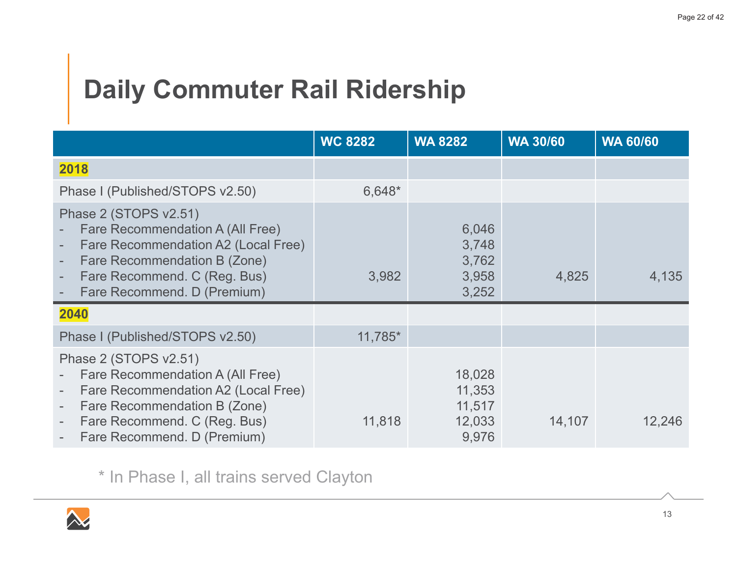## **Daily Commuter Rail Ridership**

|                                                                                                                                                                                                                                                                                                                 | <b>WC 8282</b> | <b>WA 8282</b>                                | <b>WA 30/60</b> | <b>WA 60/60</b> |
|-----------------------------------------------------------------------------------------------------------------------------------------------------------------------------------------------------------------------------------------------------------------------------------------------------------------|----------------|-----------------------------------------------|-----------------|-----------------|
| 2018                                                                                                                                                                                                                                                                                                            |                |                                               |                 |                 |
| Phase I (Published/STOPS v2.50)                                                                                                                                                                                                                                                                                 | 6,648*         |                                               |                 |                 |
| Phase 2 (STOPS v2.51)<br>Fare Recommendation A (All Free)<br>Fare Recommendation A2 (Local Free)<br>$\overline{\phantom{a}}$<br>Fare Recommendation B (Zone)<br>$\overline{\phantom{a}}$<br>Fare Recommend. C (Reg. Bus)<br>$\overline{\phantom{a}}$<br>Fare Recommend. D (Premium)<br>$\overline{\phantom{a}}$ | 3,982          | 6,046<br>3,748<br>3,762<br>3,958<br>3,252     | 4,825           | 4,135           |
| 2040                                                                                                                                                                                                                                                                                                            |                |                                               |                 |                 |
| Phase I (Published/STOPS v2.50)                                                                                                                                                                                                                                                                                 | $11,785*$      |                                               |                 |                 |
| Phase 2 (STOPS v2.51)<br>Fare Recommendation A (All Free)<br>$\overline{\phantom{a}}$<br>Fare Recommendation A2 (Local Free)<br>$\overline{\phantom{a}}$<br>Fare Recommendation B (Zone)<br>$\overline{\phantom{a}}$<br>Fare Recommend. C (Reg. Bus)<br>$\overline{\phantom{a}}$<br>Fare Recommend. D (Premium) | 11,818         | 18,028<br>11,353<br>11,517<br>12,033<br>9,976 | 14,107          | 12,246          |

\* In Phase I, all trains served Clayton

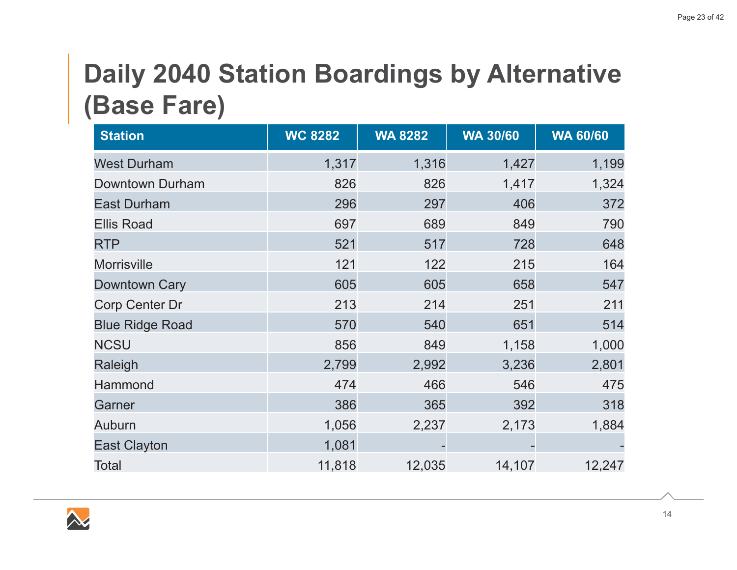## **Daily 2040 Station Boardings by Alternative** (Base Fare)

| <b>Station</b>         | <b>WC 8282</b> | <b>WA 8282</b> | <b>WA 30/60</b> | <b>WA 60/60</b> |
|------------------------|----------------|----------------|-----------------|-----------------|
| <b>West Durham</b>     | 1,317          | 1,316          | 1,427           | 1,199           |
| <b>Downtown Durham</b> | 826            | 826            | 1,417           | 1,324           |
| <b>East Durham</b>     | 296            | 297            | 406             | 372             |
| <b>Ellis Road</b>      | 697            | 689            | 849             | 790             |
| <b>RTP</b>             | 521            | 517            | 728             | 648             |
| <b>Morrisville</b>     | 121            | 122            | 215             | 164             |
| <b>Downtown Cary</b>   | 605            | 605            | 658             | 547             |
| <b>Corp Center Dr</b>  | 213            | 214            | 251             | 211             |
| <b>Blue Ridge Road</b> | 570            | 540            | 651             | 514             |
| <b>NCSU</b>            | 856            | 849            | 1,158           | 1,000           |
| Raleigh                | 2,799          | 2,992          | 3,236           | 2,801           |
| Hammond                | 474            | 466            | 546             | 475             |
| Garner                 | 386            | 365            | 392             | 318             |
| <b>Auburn</b>          | 1,056          | 2,237          | 2,173           | 1,884           |
| <b>East Clayton</b>    | 1,081          |                |                 |                 |
| <b>Total</b>           | 11,818         | 12,035         | 14,107          | 12,247          |

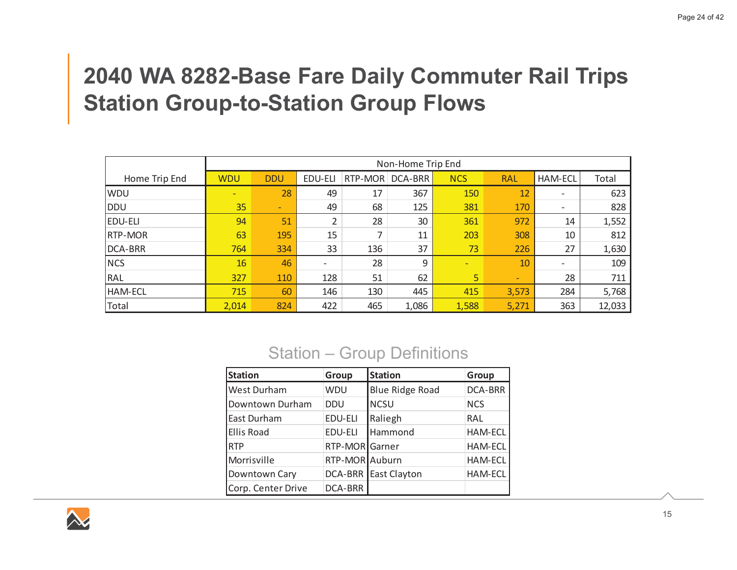### **2040 WA 8282-Base Fare Daily Commuter Rail Trips Station Group-to-Station Group Flows**

|                | Non-Home Trip End |            |                          |         |         |            |                              |                |        |
|----------------|-------------------|------------|--------------------------|---------|---------|------------|------------------------------|----------------|--------|
| Home Trip End  | <b>WDU</b>        | <b>DDU</b> | EDU-ELI                  | RTP-MOR | DCA-BRR | <b>NCS</b> | <b>RAL</b>                   | <b>HAM-ECL</b> | Total  |
| <b>WDU</b>     | ٠                 | 28         | 49                       | 17      | 367     | 150        | 12                           |                | 623    |
| DDU            | 35                | ٠          | 49                       | 68      | 125     | 381        | 170                          |                | 828    |
| <b>EDU-ELI</b> | 94                | 51         | 2                        | 28      | 30      | 361        | 972                          | 14             | 1,552  |
| <b>RTP-MOR</b> | 63                | 195        | 15                       | ⇁       | 11      | 203        | 308                          | 10             | 812    |
| <b>DCA-BRR</b> | 764               | 334        | 33                       | 136     | 37      | 73         | 226                          | 27             | 1,630  |
| <b>NCS</b>     | 16                | 46         | $\overline{\phantom{0}}$ | 28      | 9       | ٠          | 10                           |                | 109    |
| RAL            | 327               | 110        | 128                      | 51      | 62      | 5          | $\qquad \qquad \blacksquare$ | 28             | 711    |
| <b>HAM-ECL</b> | 715               | 60         | 146                      | 130     | 445     | 415        | 3,573                        | 284            | 5,768  |
| Total          | 2,014             | 824        | 422                      | 465     | 1,086   | 1,588      | 5,271                        | 363            | 12,033 |

### Station - Group Definitions

| <b>Station</b>     | Group          | <b>Station</b>         | Group          |
|--------------------|----------------|------------------------|----------------|
| <b>West Durham</b> | <b>WDU</b>     | <b>Blue Ridge Road</b> | <b>DCA-BRR</b> |
| Downtown Durham    | <b>DDU</b>     | <b>NCSU</b>            | <b>NCS</b>     |
| East Durham        | EDU-ELI        | Raliegh                | RAL            |
| <b>Ellis Road</b>  | EDU-ELI        | Hammond                | <b>HAM-ECL</b> |
| <b>RTP</b>         | RTP-MOR Garner |                        | <b>HAM-ECL</b> |
| Morrisville        | RTP-MOR Auburn |                        | HAM-ECL        |
| Downtown Cary      | DCA-BRR        | East Clayton           | <b>HAM-ECL</b> |
| Corp. Center Drive | DCA-BRR        |                        |                |

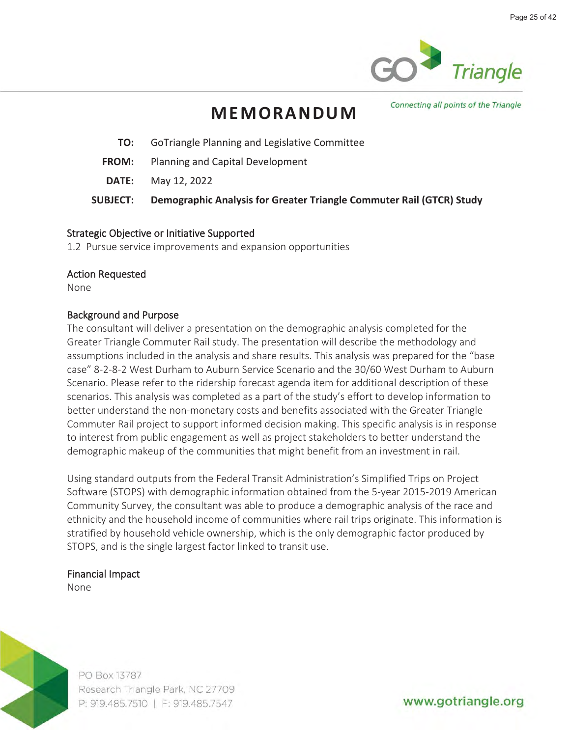

### **MEMORANDUM**

Connecting all points of the Triangle

- **TO:** GoTriangle Planning and Legislative Committee
- **FROM:** Planning and Capital Development
- **DATE:** May 12, 2022

**SUBJECT: Demographic Analysis for Greater Triangle Commuter Rail (GTCR) Study**

#### **Strategic Objective or Initiative Supported**

**1.2 Pursue service improvements and expansion opportunities**

#### **Action Requested**

**None**

#### **Background and Purpose**

**The consultant will deliver a presentation on the demographic analysis completed for the Greater Triangle Commuter Rail study. The presentation will describe the methodology and assumptions included in the analysis and share results. This analysis was prepared for the "base case" 8-2-8-2 West Durham to Auburn Service Scenario and the 30/60 West Durham to Auburn Scenario. Please refer to the ridership forecast agenda item for additional description of these scenarios. This analysis was completed as a part of the study's effort to develop information to better understand the non-monetary costs and benefits associated with the Greater Triangle Commuter Rail project to support informed decision making. This specific analysis is in response to interest from public engagement as well as project stakeholders to better understand the demographic makeup of the communities that might benefit from an investment in rail.**

**Using standard outputs from the Federal Transit Administration's Simplified Trips on Project Software (STOPS) with demographic information obtained from the 5-year 2015-2019 American Community Survey, the consultant was able to produce a demographic analysis of the race and ethnicity and the household income of communities where rail trips originate. This information is stratified by household vehicle ownership, which is the only demographic factor produced by STOPS, and is the single largest factor linked to transit use.** 

#### **Financial Impact**

**None**



PO Box 13787 Research Triangle Park, NC 27709 P: 919.485.7510 | F: 919.485.7547

www.gotriangle.org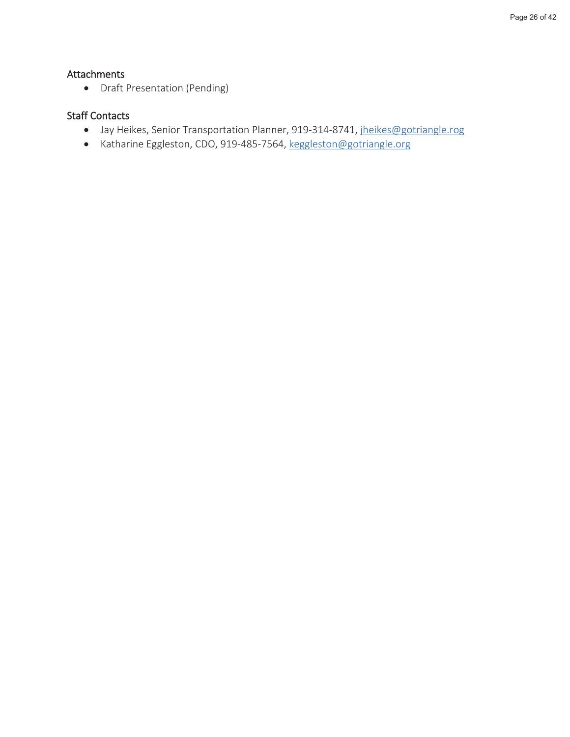### **Attachments**

• **Draft Presentation (Pending)**

#### **Staff Contacts**

- **Jay Heikes, Senior Transportation Planner, 919-314-8741, jheikes@gotriangle.rog**
- **Katharine Eggleston, CDO, 919-485-7564, keggleston@gotriangle.org**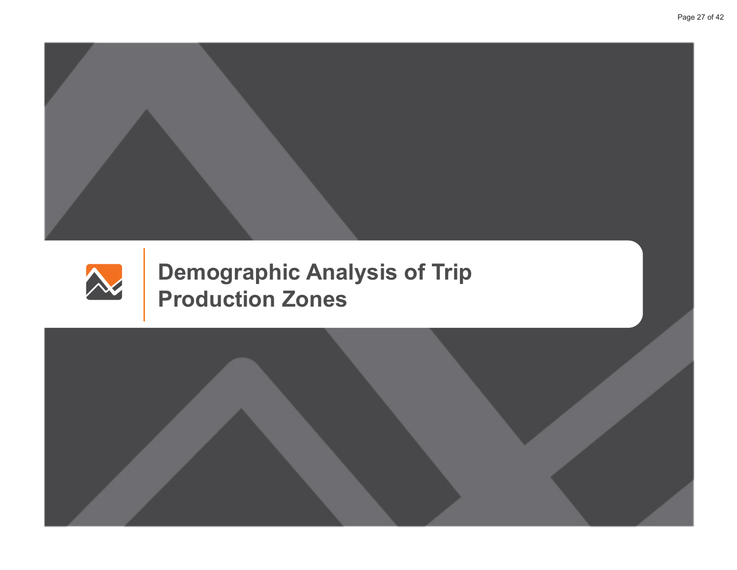



**Demographic Analysis of Trip Production Zones** 

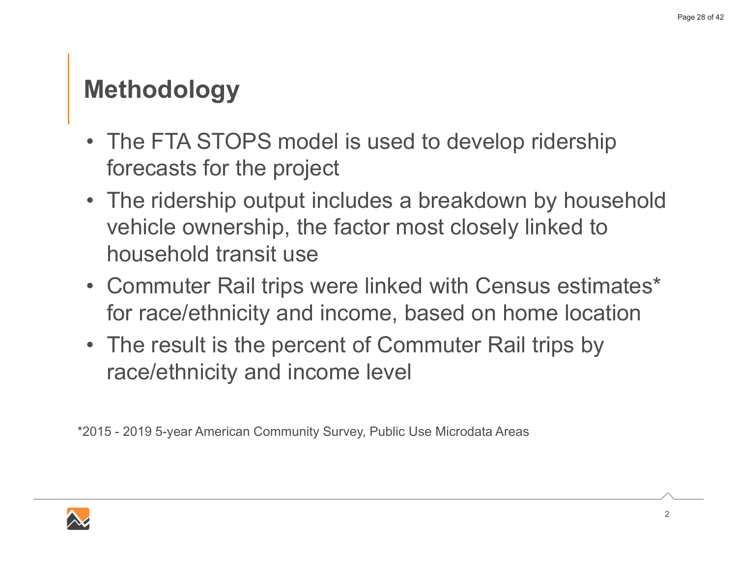### **Methodology**

- The FTA STOPS model is used to develop ridership forecasts for the project
- $\bullet$  The ridership output includes a breakdown by household vehicle ownership, the factor most closely linked to household transit use
- Commuter Rail trips were linked with Census estimates\* for race/ethnicity and income, based on home location
- The result is the percent of Commuter Rail trips by race/ethnicity and income level

\*2015 - 2019 5-year American Community Survey, Public Use Microdata Areas

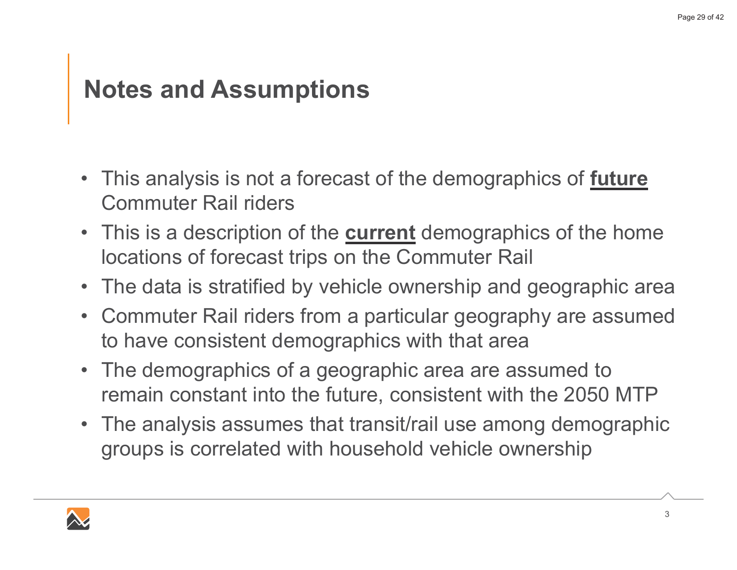### **Notes and Assumptions**

- This analysis is not a forecast of the demographics of <u>future</u> Commuter Rail riders
- This is a description of the <u>current</u> demographics of the home Iocations of forecast trips on the Commuter Rail
- $\bullet~$  The data is stratified by vehicle ownership and geographic area
- Commuter Rail riders from a particular geography are assumed to have consistent demographics with that area
- $\bullet$  The demographics of a geographic area are assumed to remain constant into the future, consistent with the 2050 MTP
- $\bullet$  The analysis assumes that transit/rail use among demographic groups is correlated with household vehicle ownership

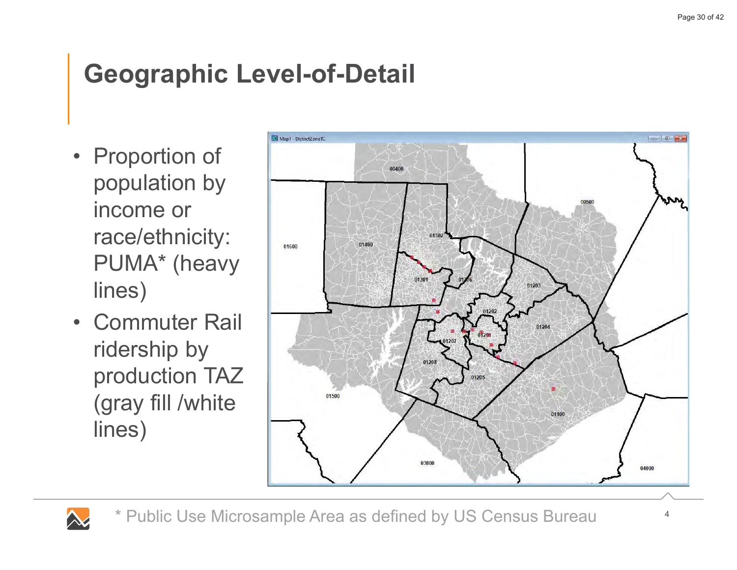## **Geographic Level-of-Detail**

- Proportion of population by income or race/ethnicity: PUMA<sup>\*</sup> (heavy lines)
- Commuter Rail ridership by production TAZ (gray fill /white lines)

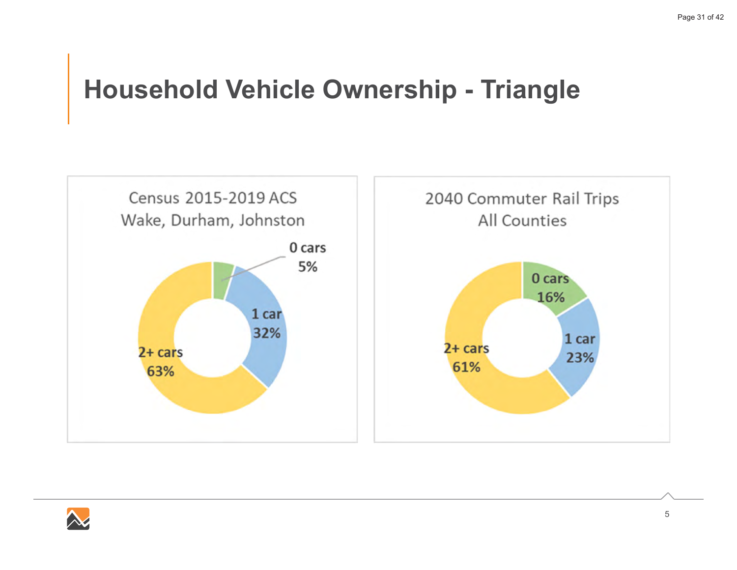### **Household Vehicle Ownership - Triangle**



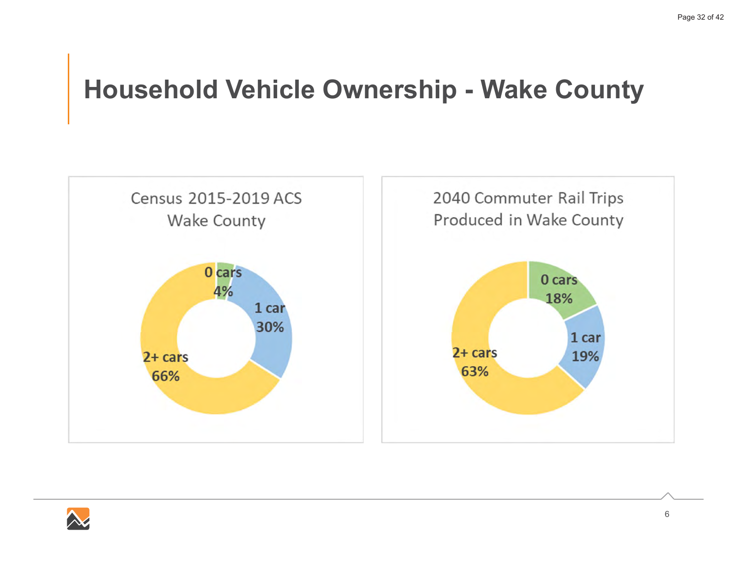### **Household Vehicle Ownership - Wake County**



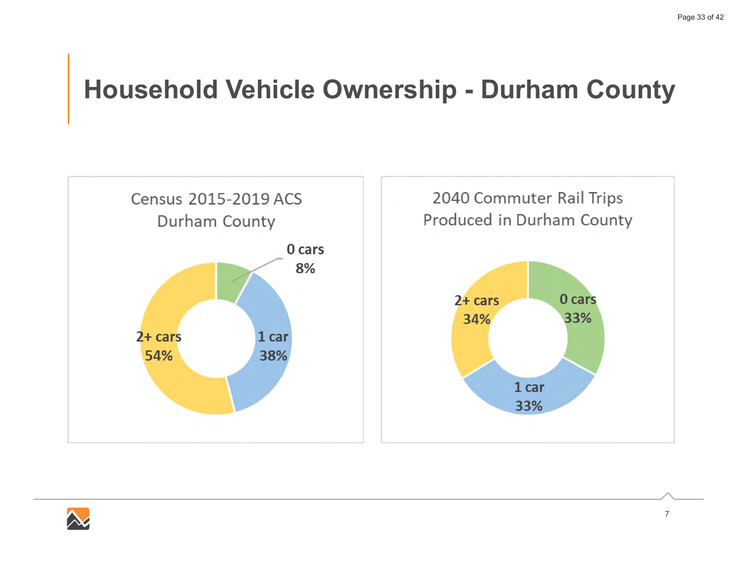### **Household Vehicle Ownership - Durham County**



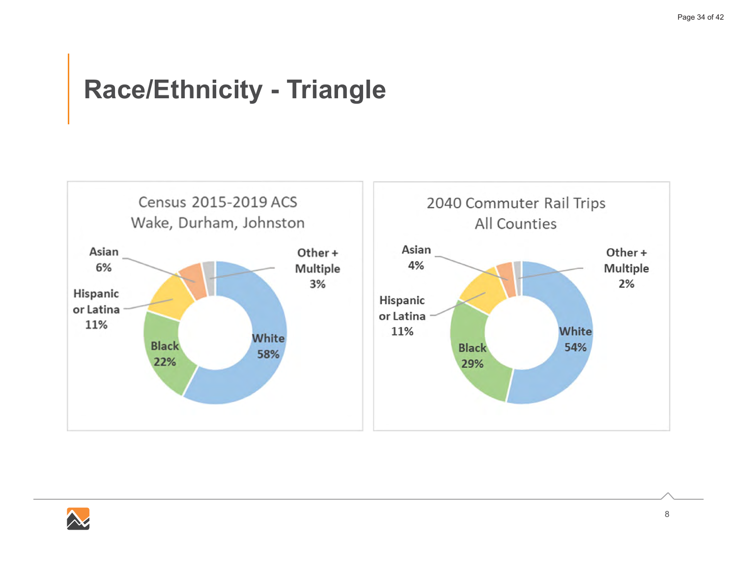### **Race/Ethnicity - Triangle**



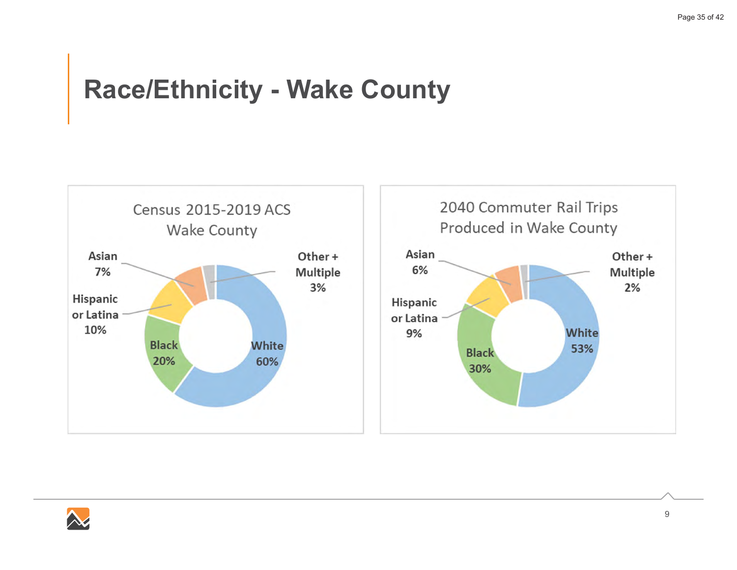### $Race/Ethnicity - Make County$



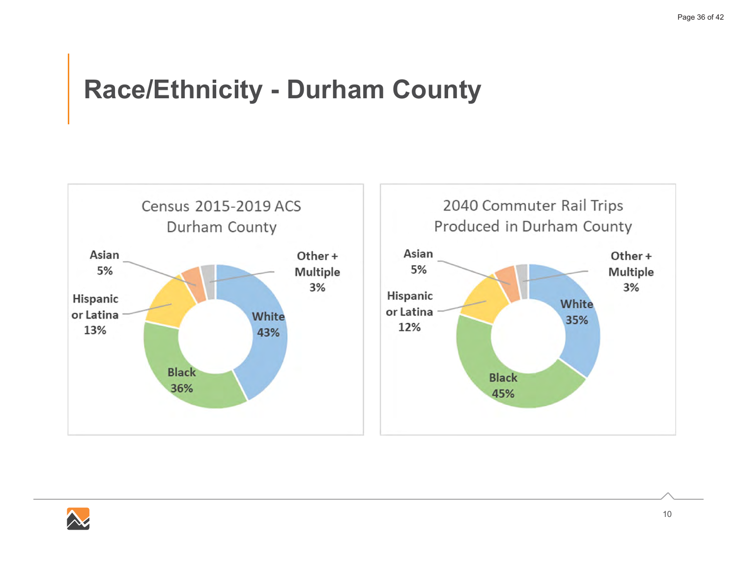### **Race/Ethnicity - Durham County**



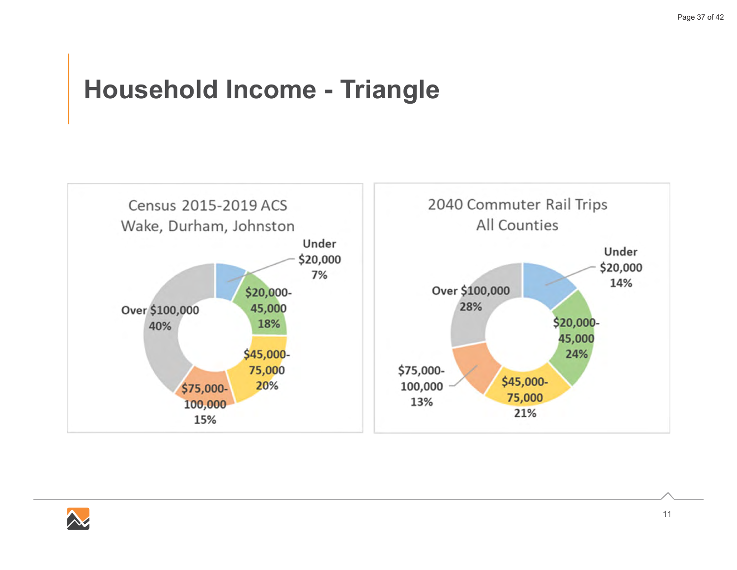### **Household Income - Triangle**



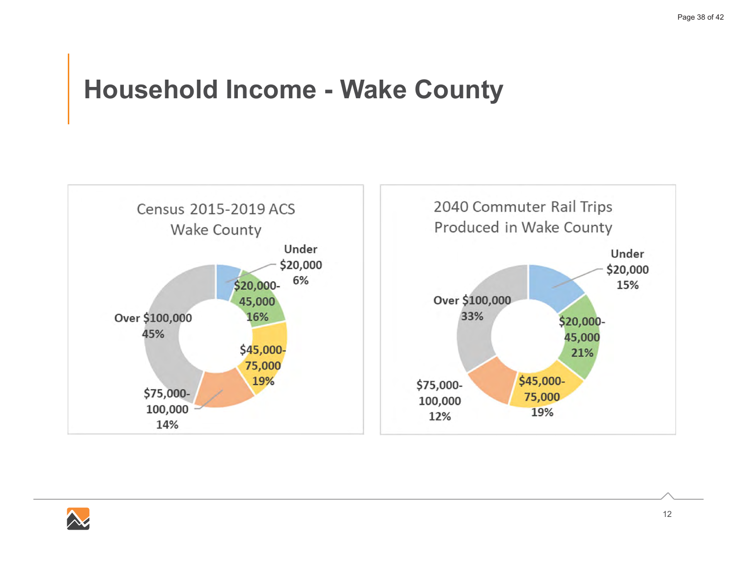### **Household Income - Wake County**



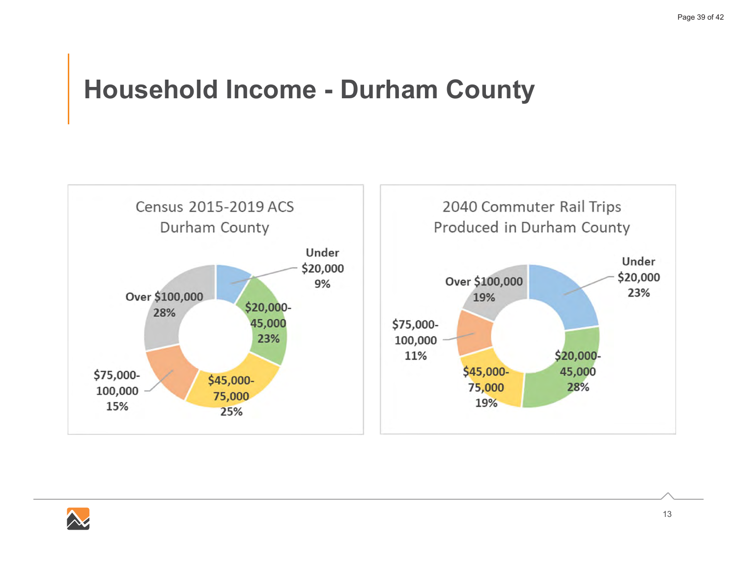### **Household Income - Durham County**



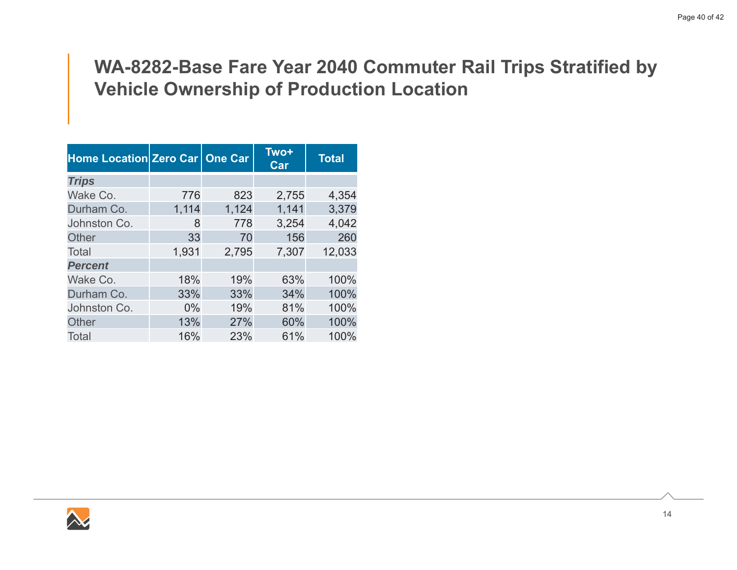### **WA-8282-Base Fare Year 2040 Commuter Rail Trips Stratified by Vehicle Ownership of Production Location**

| Home Location Zero Car   One Car |       |       | <b>Two+</b><br>Car | <b>Total</b> |
|----------------------------------|-------|-------|--------------------|--------------|
| <b>Trips</b>                     |       |       |                    |              |
| Wake Co.                         | 776   | 823   | 2,755              | 4,354        |
| Durham Co.                       | 1,114 | 1,124 | 1,141              | 3,379        |
| Johnston Co.                     | 8     | 778   | 3,254              | 4,042        |
| <b>Other</b>                     | 33    | 70    | 156                | 260          |
| Total                            | 1,931 | 2,795 | 7,307              | 12,033       |
| <b>Percent</b>                   |       |       |                    |              |
| Wake Co.                         | 18%   | 19%   | 63%                | 100%         |
| Durham Co.                       | 33%   | 33%   | 34%                | 100%         |
| Johnston Co.                     | $0\%$ | 19%   | 81%                | 100%         |
| <b>Other</b>                     | 13%   | 27%   | 60%                | 100%         |
| Total                            | 16%   | 23%   | 61%                | 100%         |

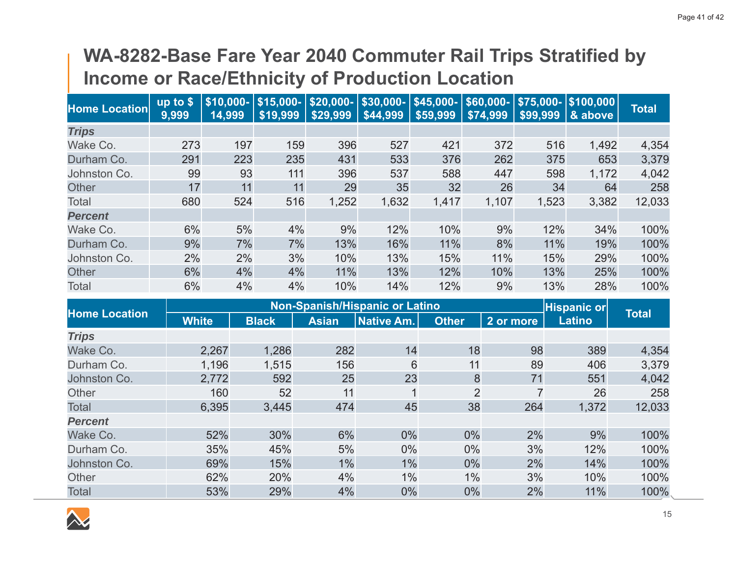### **WA-8282-Base Fare Year 2040 Commuter Rail Trips Stratified by Income or Race/Ethnicity of Production Location**

| <b>Home Location</b> | up to $$$<br>9,999 | \$10,000-<br>14,999 | $$15,000-$<br>\$19,999 | $ $20,000  $30,000-$<br>\$29,999 | \$44,999 | $$45,000-$<br>\$59,999 | \$60,000-<br>\$74,999 | \$99,999 | $$75,000 -   $100,000$<br>& above | <b>Total</b> |
|----------------------|--------------------|---------------------|------------------------|----------------------------------|----------|------------------------|-----------------------|----------|-----------------------------------|--------------|
| <b>Trips</b>         |                    |                     |                        |                                  |          |                        |                       |          |                                   |              |
| Wake Co.             | 273                | 197                 | 159                    | 396                              | 527      | 421                    | 372                   | 516      | 1,492                             | 4,354        |
| Durham Co.           | 291                | 223                 | 235                    | 431                              | 533      | 376                    | 262                   | 375      | 653                               | 3,379        |
| Johnston Co.         | 99                 | 93                  | 111                    | 396                              | 537      | 588                    | 447                   | 598      | 1,172                             | 4,042        |
| <b>Other</b>         | 17                 | 11                  | 11                     | 29                               | 35       | 32                     | 26                    | 34       | 64                                | 258          |
| Total                | 680                | 524                 | 516                    | 1,252                            | 1,632    | 1,417                  | 1,107                 | 1,523    | 3,382                             | 12,033       |
| <b>Percent</b>       |                    |                     |                        |                                  |          |                        |                       |          |                                   |              |
| Wake Co.             | 6%                 | 5%                  | 4%                     | 9%                               | 12%      | 10%                    | 9%                    | 12%      | 34%                               | 100%         |
| Durham Co.           | 9%                 | 7%                  | 7%                     | 13%                              | 16%      | 11%                    | 8%                    | 11%      | 19%                               | 100%         |
| Johnston Co.         | 2%                 | 2%                  | 3%                     | 10%                              | 13%      | 15%                    | 11%                   | 15%      | 29%                               | 100%         |
| <b>Other</b>         | 6%                 | 4%                  | 4%                     | 11%                              | 13%      | 12%                    | 10%                   | 13%      | 25%                               | 100%         |
| Total                | 6%                 | 4%                  | 4%                     | 10%                              | 14%      | 12%                    | 9%                    | 13%      | 28%                               | 100%         |

|                      |              |              |              | <b>Non-Spanish/Hispanic or Latino</b> |                |                | <b>Hispanic or</b> |              |
|----------------------|--------------|--------------|--------------|---------------------------------------|----------------|----------------|--------------------|--------------|
| <b>Home Location</b> | <b>White</b> | <b>Black</b> | <b>Asian</b> | <b>Native Am.</b>                     | <b>Other</b>   | 2 or more      | Latino             | <b>Total</b> |
| <b>Trips</b>         |              |              |              |                                       |                |                |                    |              |
| Wake Co.             | 2,267        | 1,286        | 282          | 14                                    | 18             | 98             | 389                | 4,354        |
| Durham Co.           | 1,196        | 1,515        | 156          | 6                                     | 11             | 89             | 406                | 3,379        |
| Johnston Co.         | 2,772        | 592          | 25           | 23                                    | 8              | 71             | 551                | 4,042        |
| Other                | 160          | 52           | 11           | 1                                     | $\overline{2}$ | $\overline{7}$ | 26                 | 258          |
| <b>Total</b>         | 6,395        | 3,445        | 474          | 45                                    | 38             | 264            | 1,372              | 12,033       |
| <b>Percent</b>       |              |              |              |                                       |                |                |                    |              |
| Wake Co.             | 52%          | 30%          | 6%           | 0%                                    | 0%             | 2%             | 9%                 | 100%         |
| Durham Co.           | 35%          | 45%          | 5%           | $0\%$                                 | 0%             | 3%             | 12%                | 100%         |
| Johnston Co.         | 69%          | 15%          | 1%           | 1%                                    | 0%             | 2%             | 14%                | 100%         |
| Other                | 62%          | 20%          | 4%           | 1%                                    | $1\%$          | 3%             | 10%                | 100%         |
| <b>Total</b>         | 53%          | 29%          | 4%           | 0%                                    | 0%             | 2%             | 11%                | 100%         |